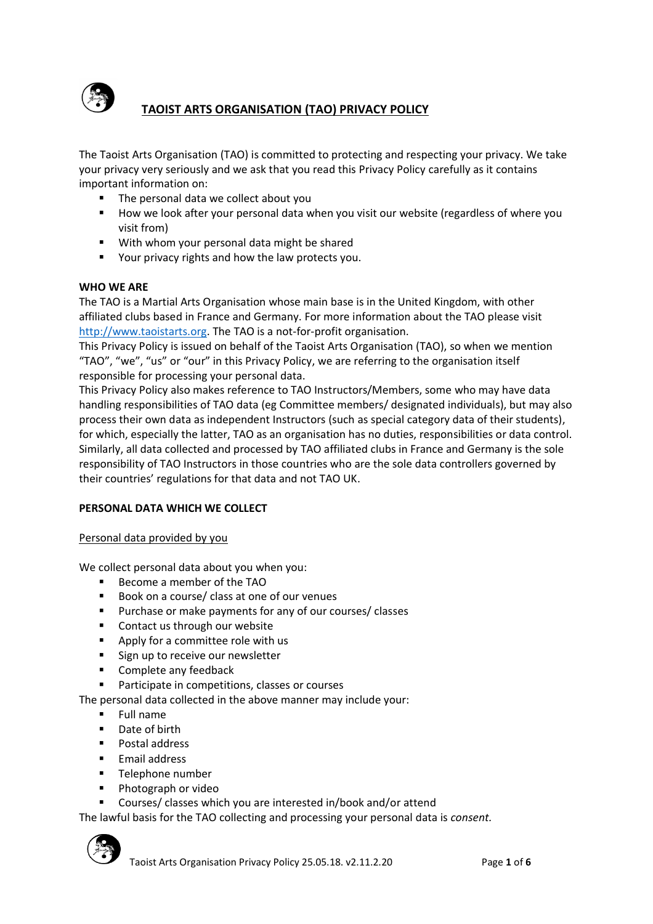

# **TAOIST ARTS ORGANISATION (TAO) PRIVACY POLICY**

The Taoist Arts Organisation (TAO) is committed to protecting and respecting your privacy. We take your privacy very seriously and we ask that you read this Privacy Policy carefully as it contains important information on:

- The personal data we collect about you
- How we look after your personal data when you visit our website (regardless of where you visit from)
- With whom your personal data might be shared
- Your privacy rights and how the law protects you.

#### **WHO WE ARE**

The TAO is a Martial Arts Organisation whose main base is in the United Kingdom, with other affiliated clubs based in France and Germany. For more information about the TAO please visit [http://www.taoistarts.org.](http://www.taoistarts.org/) The TAO is a not-for-profit organisation.

This Privacy Policy is issued on behalf of the Taoist Arts Organisation (TAO), so when we mention "TAO", "we", "us" or "our" in this Privacy Policy, we are referring to the organisation itself responsible for processing your personal data.

This Privacy Policy also makes reference to TAO Instructors/Members, some who may have data handling responsibilities of TAO data (eg Committee members/ designated individuals), but may also process their own data as independent Instructors (such as special category data of their students), for which, especially the latter, TAO as an organisation has no duties, responsibilities or data control. Similarly, all data collected and processed by TAO affiliated clubs in France and Germany is the sole responsibility of TAO Instructors in those countries who are the sole data controllers governed by their countries' regulations for that data and not TAO UK.

#### **PERSONAL DATA WHICH WE COLLECT**

#### Personal data provided by you

We collect personal data about you when you:

- Become a member of the TAO
- Book on a course/ class at one of our venues
- Purchase or make payments for any of our courses/ classes
- Contact us through our website
- Apply for a committee role with us
- Sign up to receive our newsletter
- Complete any feedback
- Participate in competitions, classes or courses

The personal data collected in the above manner may include your:

- Full name
- Date of birth
- Postal address
- Email address
- Telephone number
- Photograph or video
- Courses/ classes which you are interested in/book and/or attend

The lawful basis for the TAO collecting and processing your personal data is *consent.*

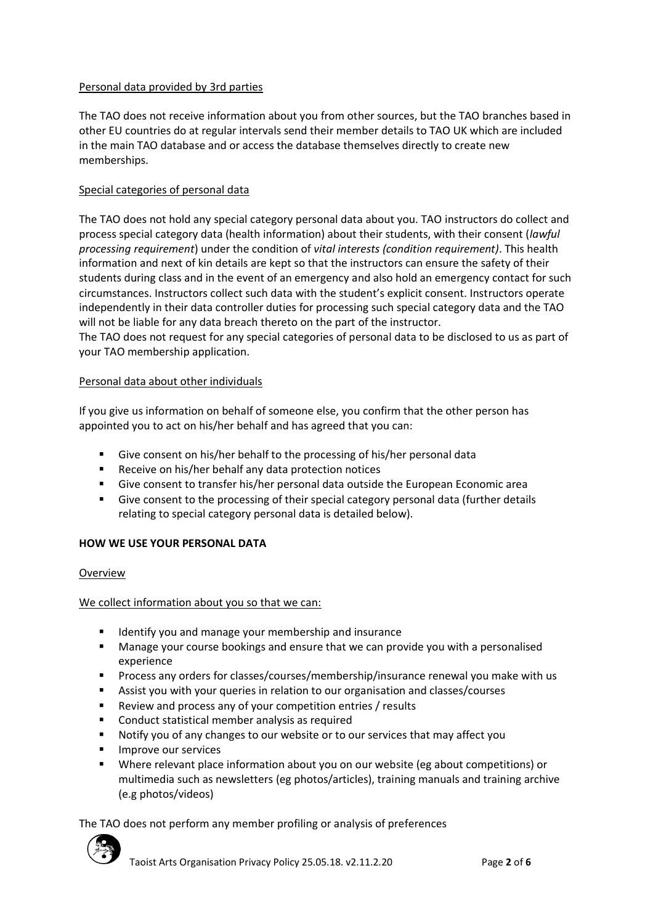## Personal data provided by 3rd parties

The TAO does not receive information about you from other sources, but the TAO branches based in other EU countries do at regular intervals send their member details to TAO UK which are included in the main TAO database and or access the database themselves directly to create new memberships.

## Special categories of personal data

The TAO does not hold any special category personal data about you. TAO instructors do collect and process special category data (health information) about their students, with their consent (*lawful processing requirement*) under the condition of *vital interests (condition requirement)*. This health information and next of kin details are kept so that the instructors can ensure the safety of their students during class and in the event of an emergency and also hold an emergency contact for such circumstances. Instructors collect such data with the student's explicit consent. Instructors operate independently in their data controller duties for processing such special category data and the TAO will not be liable for any data breach thereto on the part of the instructor.

The TAO does not request for any special categories of personal data to be disclosed to us as part of your TAO membership application.

## Personal data about other individuals

If you give us information on behalf of someone else, you confirm that the other person has appointed you to act on his/her behalf and has agreed that you can:

- Give consent on his/her behalf to the processing of his/her personal data
- Receive on his/her behalf any data protection notices
- Give consent to transfer his/her personal data outside the European Economic area
- Give consent to the processing of their special category personal data (further details relating to special category personal data is detailed below).

## **HOW WE USE YOUR PERSONAL DATA**

#### Overview

We collect information about you so that we can:

- Identify you and manage your membership and insurance
- Manage your course bookings and ensure that we can provide you with a personalised experience
- Process any orders for classes/courses/membership/insurance renewal you make with us
- Assist you with your queries in relation to our organisation and classes/courses
- Review and process any of your competition entries / results
- Conduct statistical member analysis as required
- Notify you of any changes to our website or to our services that may affect you
- Improve our services
- Where relevant place information about you on our website (eg about competitions) or multimedia such as newsletters (eg photos/articles), training manuals and training archive (e.g photos/videos)

The TAO does not perform any member profiling or analysis of preferences

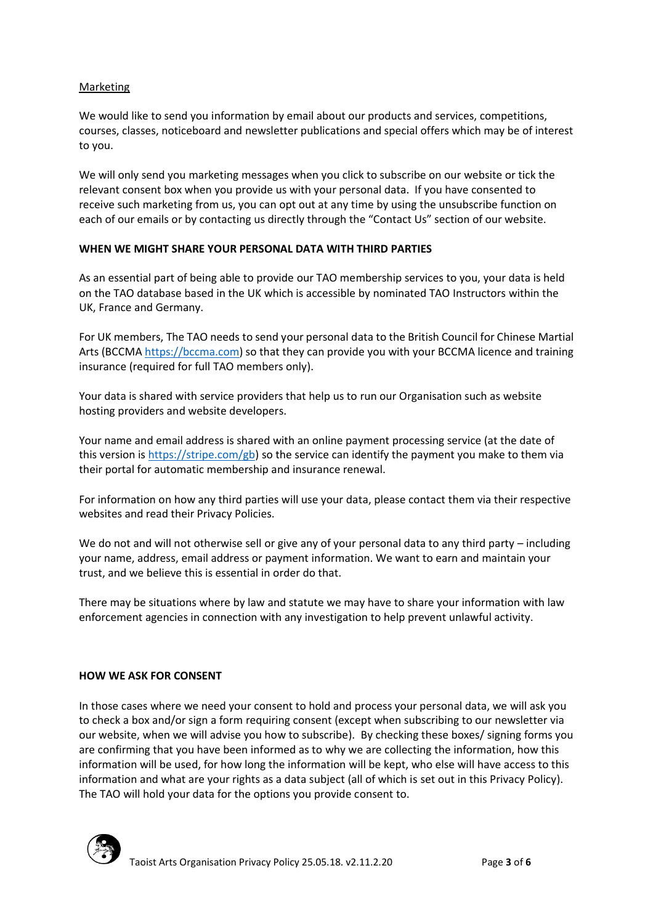### Marketing

We would like to send you information by email about our products and services, competitions, courses, classes, noticeboard and newsletter publications and special offers which may be of interest to you.

We will only send you marketing messages when you click to subscribe on our website or tick the relevant consent box when you provide us with your personal data. If you have consented to receive such marketing from us, you can opt out at any time by using the unsubscribe function on each of our emails or by contacting us directly through the "Contact Us" section of our website.

### **WHEN WE MIGHT SHARE YOUR PERSONAL DATA WITH THIRD PARTIES**

As an essential part of being able to provide our TAO membership services to you, your data is held on the TAO database based in the UK which is accessible by nominated TAO Instructors within the UK, France and Germany.

For UK members, The TAO needs to send your personal data to the British Council for Chinese Martial Arts (BCCMA [https://bccma.com\)](https://bccma.com/) so that they can provide you with your BCCMA licence and training insurance (required for full TAO members only).

Your data is shared with service providers that help us to run our Organisation such as website hosting providers and website developers.

Your name and email address is shared with an online payment processing service (at the date of this version is [https://stripe.com/gb\)](https://stripe.com/gb) so the service can identify the payment you make to them via their portal for automatic membership and insurance renewal.

For information on how any third parties will use your data, please contact them via their respective websites and read their Privacy Policies.

We do not and will not otherwise sell or give any of your personal data to any third party – including your name, address, email address or payment information. We want to earn and maintain your trust, and we believe this is essential in order do that.

There may be situations where by law and statute we may have to share your information with law enforcement agencies in connection with any investigation to help prevent unlawful activity.

#### **HOW WE ASK FOR CONSENT**

In those cases where we need your consent to hold and process your personal data, we will ask you to check a box and/or sign a form requiring consent (except when subscribing to our newsletter via our website, when we will advise you how to subscribe). By checking these boxes/ signing forms you are confirming that you have been informed as to why we are collecting the information, how this information will be used, for how long the information will be kept, who else will have access to this information and what are your rights as a data subject (all of which is set out in this Privacy Policy). The TAO will hold your data for the options you provide consent to.

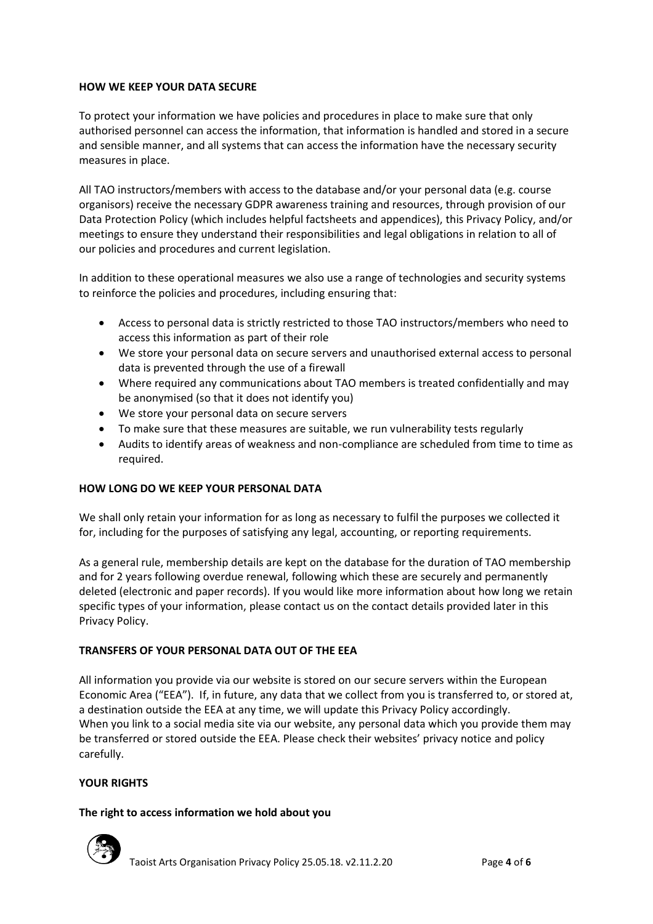### **HOW WE KEEP YOUR DATA SECURE**

To protect your information we have policies and procedures in place to make sure that only authorised personnel can access the information, that information is handled and stored in a secure and sensible manner, and all systems that can access the information have the necessary security measures in place.

All TAO instructors/members with access to the database and/or your personal data (e.g. course organisors) receive the necessary GDPR awareness training and resources, through provision of our Data Protection Policy (which includes helpful factsheets and appendices), this Privacy Policy, and/or meetings to ensure they understand their responsibilities and legal obligations in relation to all of our policies and procedures and current legislation.

In addition to these operational measures we also use a range of technologies and security systems to reinforce the policies and procedures, including ensuring that:

- Access to personal data is strictly restricted to those TAO instructors/members who need to access this information as part of their role
- We store your personal data on secure servers and unauthorised external access to personal data is prevented through the use of a firewall
- Where required any communications about TAO members is treated confidentially and may be anonymised (so that it does not identify you)
- We store your personal data on secure servers
- To make sure that these measures are suitable, we run vulnerability tests regularly
- Audits to identify areas of weakness and non-compliance are scheduled from time to time as required.

## **HOW LONG DO WE KEEP YOUR PERSONAL DATA**

We shall only retain your information for as long as necessary to fulfil the purposes we collected it for, including for the purposes of satisfying any legal, accounting, or reporting requirements.

As a general rule, membership details are kept on the database for the duration of TAO membership and for 2 years following overdue renewal, following which these are securely and permanently deleted (electronic and paper records). If you would like more information about how long we retain specific types of your information, please contact us on the contact details provided later in this Privacy Policy.

## **TRANSFERS OF YOUR PERSONAL DATA OUT OF THE EEA**

All information you provide via our website is stored on our secure servers within the European Economic Area ("EEA"). If, in future, any data that we collect from you is transferred to, or stored at, a destination outside the EEA at any time, we will update this Privacy Policy accordingly. When you link to a social media site via our website, any personal data which you provide them may be transferred or stored outside the EEA. Please check their websites' privacy notice and policy carefully.

## **YOUR RIGHTS**

#### **The right to access information we hold about you**

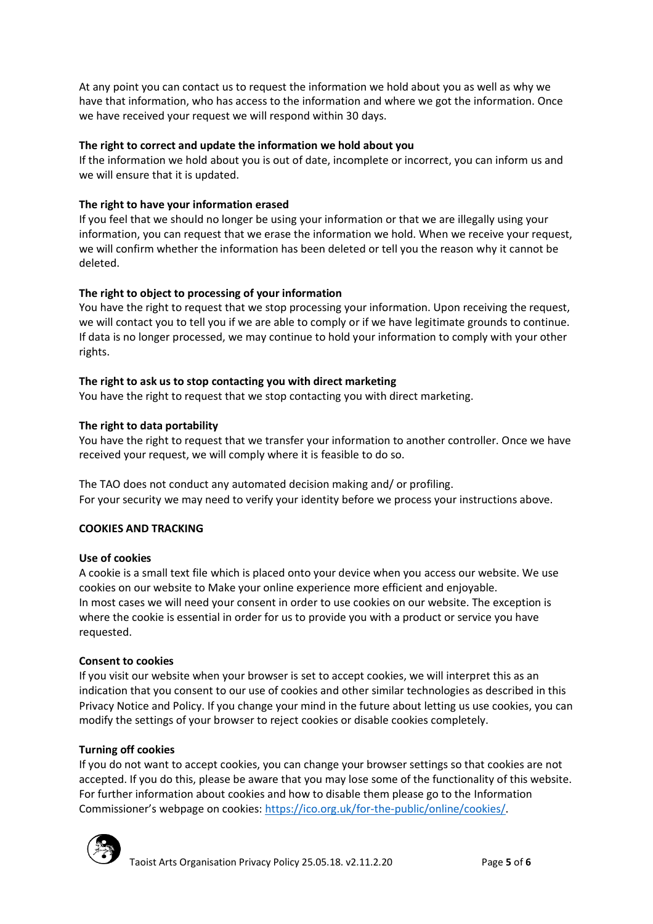At any point you can contact us to request the information we hold about you as well as why we have that information, who has access to the information and where we got the information. Once we have received your request we will respond within 30 days.

## **The right to correct and update the information we hold about you**

If the information we hold about you is out of date, incomplete or incorrect, you can inform us and we will ensure that it is updated.

### **The right to have your information erased**

If you feel that we should no longer be using your information or that we are illegally using your information, you can request that we erase the information we hold. When we receive your request, we will confirm whether the information has been deleted or tell you the reason why it cannot be deleted.

### **The right to object to processing of your information**

You have the right to request that we stop processing your information. Upon receiving the request, we will contact you to tell you if we are able to comply or if we have legitimate grounds to continue. If data is no longer processed, we may continue to hold your information to comply with your other rights.

#### **The right to ask us to stop contacting you with direct marketing**

You have the right to request that we stop contacting you with direct marketing.

#### **The right to data portability**

You have the right to request that we transfer your information to another controller. Once we have received your request, we will comply where it is feasible to do so.

The TAO does not conduct any automated decision making and/ or profiling. For your security we may need to verify your identity before we process your instructions above.

#### **COOKIES AND TRACKING**

#### **Use of cookies**

A cookie is a small text file which is placed onto your device when you access our website. We use cookies on our website to Make your online experience more efficient and enjoyable. In most cases we will need your consent in order to use cookies on our website. The exception is where the cookie is essential in order for us to provide you with a product or service you have requested.

#### **Consent to cookies**

If you visit our website when your browser is set to accept cookies, we will interpret this as an indication that you consent to our use of cookies and other similar technologies as described in this Privacy Notice and Policy. If you change your mind in the future about letting us use cookies, you can modify the settings of your browser to reject cookies or disable cookies completely.

#### **Turning off cookies**

If you do not want to accept cookies, you can change your browser settings so that cookies are not accepted. If you do this, please be aware that you may lose some of the functionality of this website. For further information about cookies and how to disable them please go to the Information Commissioner's webpage on cookies: [https://ico.org.uk/for-the-public/online/cookies/.](https://ico.org.uk/for-the-public/online/cookies/)